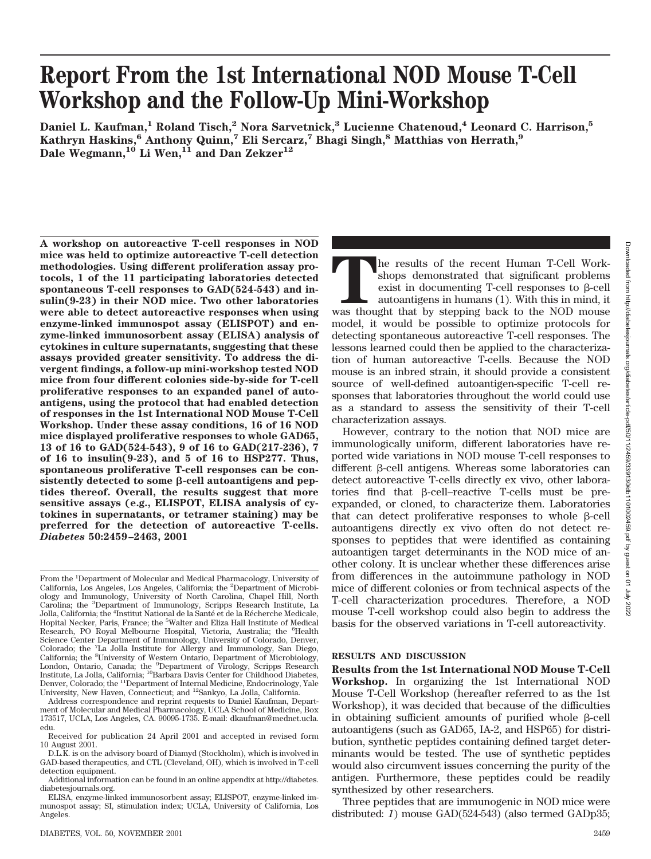# **Report From the 1st International NOD Mouse T-Cell Workshop and the Follow-Up Mini-Workshop**

**Daniel L. Kaufman,<sup>1</sup> Roland Tisch,<sup>2</sup> Nora Sarvetnick,<sup>3</sup> Lucienne Chatenoud,<sup>4</sup> Leonard C. Harrison,<sup>5</sup> Kathryn Haskins,6 Anthony Quinn,7 Eli Sercarz,7 Bhagi Singh,8 Matthias von Herrath,9 Dale Wegmann,10 Li Wen,11 and Dan Zekzer12**

**A workshop on autoreactive T-cell responses in NOD mice was held to optimize autoreactive T-cell detection methodologies. Using different proliferation assay protocols, 1 of the 11 participating laboratories detected spontaneous T-cell responses to GAD(524-543) and insulin(9-23) in their NOD mice. Two other laboratories were able to detect autoreactive responses when using enzyme-linked immunospot assay (ELISPOT) and enzyme-linked immunosorbent assay (ELISA) analysis of cytokines in culture supernatants, suggesting that these assays provided greater sensitivity. To address the divergent findings, a follow-up mini-workshop tested NOD mice from four different colonies side-by-side for T-cell proliferative responses to an expanded panel of autoantigens, using the protocol that had enabled detection of responses in the 1st International NOD Mouse T-Cell Workshop. Under these assay conditions, 16 of 16 NOD mice displayed proliferative responses to whole GAD65, 13 of 16 to GAD(524-543), 9 of 16 to GAD(217-236), 7 of 16 to insulin(9-23), and 5 of 16 to HSP277. Thus, spontaneous proliferative T-cell responses can be con**sistently detected to some  $\beta$ -cell autoantigens and pep**tides thereof. Overall, the results suggest that more sensitive assays (e.g., ELISPOT, ELISA analysis of cytokines in supernatants, or tetramer staining) may be preferred for the detection of autoreactive T-cells.** *Diabetes* **50:2459–2463, 2001**

Address correspondence and reprint requests to Daniel Kaufman, Department of Molecular and Medical Pharmacology, UCLA School of Medicine, Box 173517, UCLA, Los Angeles, CA. 90095-1735. E-mail: dkaufman@mednet.ucla. edu.

**The results of the recent Human T-Cell Work-**<br>shops demonstrated that significant problems<br>exist in documenting T-cell responses to β-cell<br>autoantigens in humans (1). With this in mind, it<br>was thought that by stepping ba shops demonstrated that significant problems exist in documenting T-cell responses to  $\beta$ -cell autoantigens in humans (1). With this in mind, it model, it would be possible to optimize protocols for detecting spontaneous autoreactive T-cell responses. The lessons learned could then be applied to the characterization of human autoreactive T-cells. Because the NOD mouse is an inbred strain, it should provide a consistent source of well-defined autoantigen-specific T-cell responses that laboratories throughout the world could use as a standard to assess the sensitivity of their T-cell characterization assays.

However, contrary to the notion that NOD mice are immunologically uniform, different laboratories have reported wide variations in NOD mouse T-cell responses to different  $\beta$ -cell antigens. Whereas some laboratories can detect autoreactive T-cells directly ex vivo, other laboratories find that  $\beta$ -cell–reactive T-cells must be preexpanded, or cloned, to characterize them. Laboratories that can detect proliferative responses to whole  $\beta$ -cell autoantigens directly ex vivo often do not detect responses to peptides that were identified as containing autoantigen target determinants in the NOD mice of another colony. It is unclear whether these differences arise from differences in the autoimmune pathology in NOD mice of different colonies or from technical aspects of the T-cell characterization procedures. Therefore, a NOD mouse T-cell workshop could also begin to address the basis for the observed variations in T-cell autoreactivity.

### **RESULTS AND DISCUSSION**

**Results from the 1st International NOD Mouse T-Cell Workshop.** In organizing the 1st International NOD Mouse T-Cell Workshop (hereafter referred to as the 1st Workshop), it was decided that because of the difficulties in obtaining sufficient amounts of purified whole  $\beta$ -cell autoantigens (such as GAD65, IA-2, and HSP65) for distribution, synthetic peptides containing defined target determinants would be tested. The use of synthetic peptides would also circumvent issues concerning the purity of the antigen. Furthermore, these peptides could be readily synthesized by other researchers.

Three peptides that are immunogenic in NOD mice were distributed: *1*) mouse GAD(524-543) (also termed GADp35;

From the <sup>1</sup>Department of Molecular and Medical Pharmacology, University of California, Los Angeles, Los Angeles, California; the <sup>2</sup> Department of Microbiology and Immunology, University of North Carolina, Chapel Hill, North Carolina; the <sup>3</sup>Department of Immunology, Scripps Research Institute, La Jolla, California; the <sup>4</sup>Institut National de la Santé et de la Récherche Medicale,<br>Hopital Necker, Paris, France; the <sup>5</sup>Walter and Eliza Hall Institute of Medical Research, PO Royal Melbourne Hospital, Victoria, Australia; the <sup>6</sup>Health Science Center Department of Immunology, University of Colorado, Denver, Colorado; the <sup>7</sup>La Jolla Institute for Allergy and Immunology, San Diego, California; the <sup>8</sup>University of Western Ontario, Department of Microbiology, London, Ontario, Canada; the <sup>9</sup>Department of Virology, Scripps Research Institute, La Jolla, California; 10Barbara Davis Center for Childhood Diabetes, Denver, Colorado; the 11Department of Internal Medicine, Endocrinology, Yale University, New Haven, Connecticut; and 12Sankyo, La Jolla, California.

Received for publication 24 April 2001 and accepted in revised form 10 August 2001.

D.L.K. is on the advisory board of Diamyd (Stockholm), which is involved in GAD-based therapeutics, and CTL (Cleveland, OH), which is involved in T-cell detection equipment.

Additional information can be found in an online appendix at http://diabetes. diabetesjournals.org.

ELISA, enzyme-linked immunosorbent assay; ELISPOT, enzyme-linked immunospot assay; SI, stimulation index; UCLA, University of California, Los Angeles.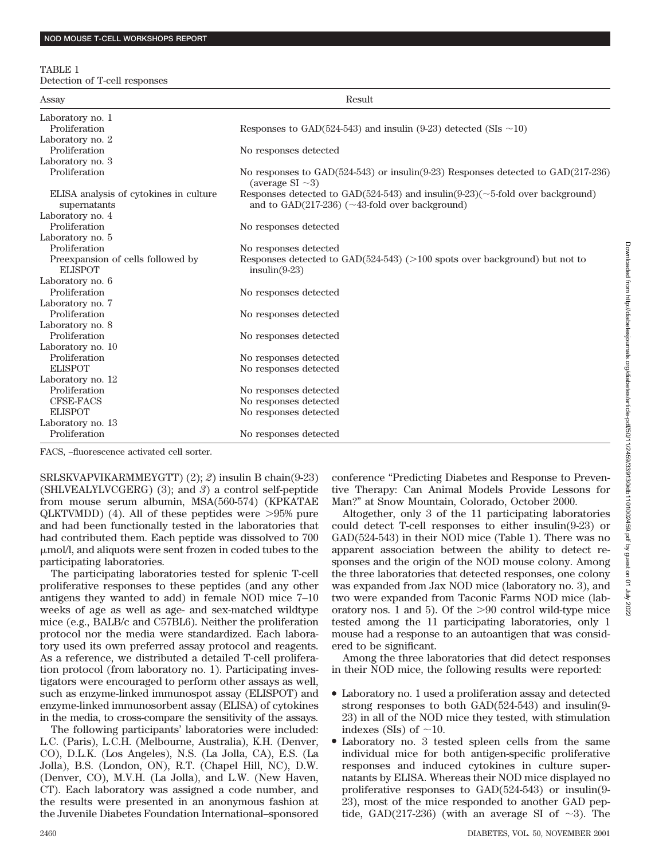#### TABLE 1

Detection of T-cell responses

| Assay                                                  | Result                                                                                                                                          |
|--------------------------------------------------------|-------------------------------------------------------------------------------------------------------------------------------------------------|
| Laboratory no. 1                                       |                                                                                                                                                 |
| Proliferation                                          | Responses to GAD(524-543) and insulin (9-23) detected (SIs $\sim$ 10)                                                                           |
| Laboratory no. 2                                       |                                                                                                                                                 |
| Proliferation                                          | No responses detected                                                                                                                           |
| Laboratory no. 3                                       |                                                                                                                                                 |
| Proliferation                                          | No responses to $GAD(524-543)$ or insulin(9-23) Responses detected to $GAD(217-236)$<br>(average $SI \sim 3$ )                                  |
| ELISA analysis of cytokines in culture<br>supernatants | Responses detected to GAD(524-543) and insulin(9-23)( $\sim$ 5-fold over background)<br>and to $GAD(217-236)$ ( $\sim$ 43-fold over background) |
| Laboratory no. 4                                       |                                                                                                                                                 |
| Proliferation                                          | No responses detected                                                                                                                           |
| Laboratory no. 5                                       |                                                                                                                                                 |
| Proliferation                                          | No responses detected                                                                                                                           |
| Preexpansion of cells followed by<br><b>ELISPOT</b>    | Responses detected to $GAD(524-543)$ (>100 spots over background) but not to<br>$insulin(9-23)$                                                 |
| Laboratory no. 6                                       |                                                                                                                                                 |
| Proliferation                                          | No responses detected                                                                                                                           |
| Laboratory no. 7                                       |                                                                                                                                                 |
| Proliferation                                          | No responses detected                                                                                                                           |
| Laboratory no. 8                                       |                                                                                                                                                 |
| Proliferation                                          | No responses detected                                                                                                                           |
| Laboratory no. 10                                      |                                                                                                                                                 |
| Proliferation                                          | No responses detected                                                                                                                           |
| <b>ELISPOT</b>                                         | No responses detected                                                                                                                           |
| Laboratory no. 12                                      |                                                                                                                                                 |
| Proliferation                                          | No responses detected                                                                                                                           |
| <b>CFSE-FACS</b>                                       | No responses detected                                                                                                                           |
| <b>ELISPOT</b>                                         | No responses detected                                                                                                                           |
| Laboratory no. 13                                      |                                                                                                                                                 |
| Proliferation                                          | No responses detected                                                                                                                           |

FACS, –fluorescence activated cell sorter.

SRLSKVAPVIKARMMEYGTT) (2); *2*) insulin B chain(9-23) (SHLVEALYLVCGERG) (3); and *3*) a control self-peptide from mouse serum albumin, MSA(560-574) (KPKATAE  $QLKTVMDD$ ) (4). All of these peptides were  $>95\%$  pure and had been functionally tested in the laboratories that had contributed them. Each peptide was dissolved to 700 mol/l, and aliquots were sent frozen in coded tubes to the participating laboratories.

The participating laboratories tested for splenic T-cell proliferative responses to these peptides (and any other antigens they wanted to add) in female NOD mice 7–10 weeks of age as well as age- and sex-matched wildtype mice (e.g., BALB/c and C57BL6). Neither the proliferation protocol nor the media were standardized. Each laboratory used its own preferred assay protocol and reagents. As a reference, we distributed a detailed T-cell proliferation protocol (from laboratory no. 1). Participating investigators were encouraged to perform other assays as well, such as enzyme-linked immunospot assay (ELISPOT) and enzyme-linked immunosorbent assay (ELISA) of cytokines in the media, to cross-compare the sensitivity of the assays.

The following participants' laboratories were included: L.C. (Paris), L.C.H. (Melbourne, Australia), K.H. (Denver, CO), D.L.K. (Los Angeles), N.S. (La Jolla, CA), E.S. (La Jolla), B.S. (London, ON), R.T. (Chapel Hill, NC), D.W. (Denver, CO), M.V.H. (La Jolla), and L.W. (New Haven, CT). Each laboratory was assigned a code number, and the results were presented in an anonymous fashion at the Juvenile Diabetes Foundation International–sponsored conference "Predicting Diabetes and Response to Preventive Therapy: Can Animal Models Provide Lessons for Man?" at Snow Mountain, Colorado, October 2000.

Altogether, only 3 of the 11 participating laboratories could detect T-cell responses to either insulin(9-23) or GAD(524-543) in their NOD mice (Table 1). There was no apparent association between the ability to detect responses and the origin of the NOD mouse colony. Among the three laboratories that detected responses, one colony was expanded from Jax NOD mice (laboratory no. 3), and two were expanded from Taconic Farms NOD mice (laboratory nos. 1 and 5). Of the -90 control wild-type mice tested among the 11 participating laboratories, only 1 mouse had a response to an autoantigen that was considered to be significant.

Among the three laboratories that did detect responses in their NOD mice, the following results were reported:

- Laboratory no. 1 used a proliferation assay and detected strong responses to both GAD(524-543) and insulin(9- 23) in all of the NOD mice they tested, with stimulation indexes (SIs) of  $\sim$ 10.
- Laboratory no. 3 tested spleen cells from the same individual mice for both antigen-specific proliferative responses and induced cytokines in culture supernatants by ELISA. Whereas their NOD mice displayed no proliferative responses to GAD(524-543) or insulin(9- 23), most of the mice responded to another GAD peptide, GAD(217-236) (with an average SI of  $\sim$ 3). The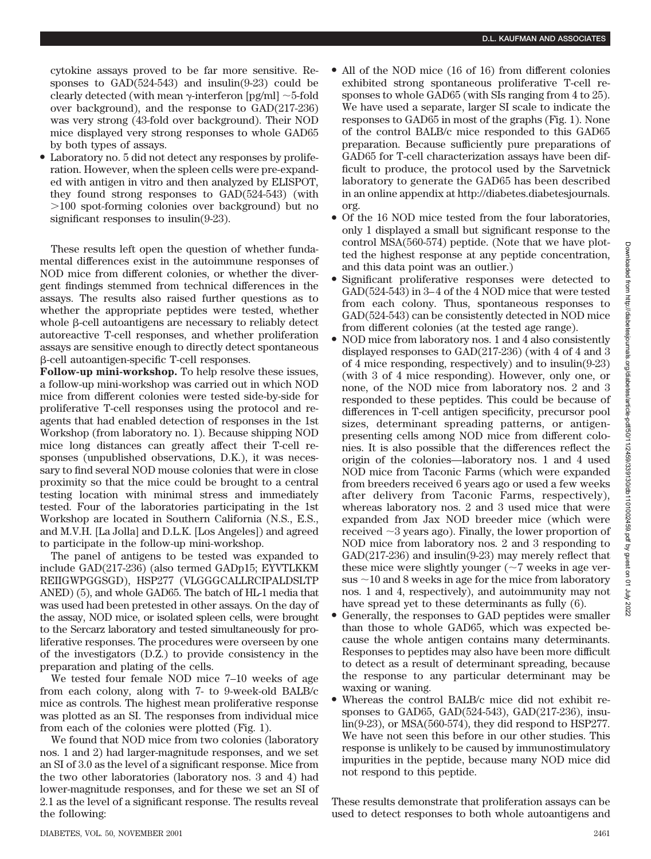cytokine assays proved to be far more sensitive. Responses to  $GAD(524-543)$  and  $insulin(9-23)$  could be clearly detected (with mean  $\gamma$ -interferon [pg/ml]  $\sim$  5-fold over background), and the response to GAD(217-236) was very strong (43-fold over background). Their NOD mice displayed very strong responses to whole GAD65 by both types of assays.

• Laboratory no. 5 did not detect any responses by proliferation. However, when the spleen cells were pre-expanded with antigen in vitro and then analyzed by ELISPOT, they found strong responses to GAD(524-543) (with -100 spot-forming colonies over background) but no significant responses to insulin(9-23).

These results left open the question of whether fundamental differences exist in the autoimmune responses of NOD mice from different colonies, or whether the divergent findings stemmed from technical differences in the assays. The results also raised further questions as to whether the appropriate peptides were tested, whether whole  $\beta$ -cell autoantigens are necessary to reliably detect autoreactive T-cell responses, and whether proliferation assays are sensitive enough to directly detect spontaneous -cell autoantigen-specific T-cell responses.

**Follow-up mini-workshop.** To help resolve these issues, a follow-up mini-workshop was carried out in which NOD mice from different colonies were tested side-by-side for proliferative T-cell responses using the protocol and reagents that had enabled detection of responses in the 1st Workshop (from laboratory no. 1). Because shipping NOD mice long distances can greatly affect their T-cell responses (unpublished observations, D.K.), it was necessary to find several NOD mouse colonies that were in close proximity so that the mice could be brought to a central testing location with minimal stress and immediately tested. Four of the laboratories participating in the 1st Workshop are located in Southern California (N.S., E.S., and M.V.H. [La Jolla] and D.L.K. [Los Angeles]) and agreed to participate in the follow-up mini-workshop.

The panel of antigens to be tested was expanded to include GAD(217-236) (also termed GADp15; EYVTLKKM REIIGWPGGSGD), HSP277 (VLGGGCALLRCIPALDSLTP ANED) (5), and whole GAD65. The batch of HL-1 media that was used had been pretested in other assays. On the day of the assay, NOD mice, or isolated spleen cells, were brought to the Sercarz laboratory and tested simultaneously for proliferative responses. The procedures were overseen by one of the investigators (D.Z.) to provide consistency in the preparation and plating of the cells.

We tested four female NOD mice 7–10 weeks of age from each colony, along with 7- to 9-week-old BALB/c mice as controls. The highest mean proliferative response was plotted as an SI. The responses from individual mice from each of the colonies were plotted (Fig. 1).

We found that NOD mice from two colonies (laboratory nos. 1 and 2) had larger-magnitude responses, and we set an SI of 3.0 as the level of a significant response. Mice from the two other laboratories (laboratory nos. 3 and 4) had lower-magnitude responses, and for these we set an SI of 2.1 as the level of a significant response. The results reveal the following:

- All of the NOD mice (16 of 16) from different colonies exhibited strong spontaneous proliferative T-cell responses to whole GAD65 (with SIs ranging from 4 to 25). We have used a separate, larger SI scale to indicate the responses to GAD65 in most of the graphs (Fig. 1). None of the control BALB/c mice responded to this GAD65 preparation. Because sufficiently pure preparations of GAD65 for T-cell characterization assays have been difficult to produce, the protocol used by the Sarvetnick laboratory to generate the GAD65 has been described in an online appendix at http://diabetes.diabetesjournals. org.
- Of the 16 NOD mice tested from the four laboratories, only 1 displayed a small but significant response to the control MSA(560-574) peptide. (Note that we have plotted the highest response at any peptide concentration, and this data point was an outlier.)
- Significant proliferative responses were detected to GAD(524-543) in 3–4 of the 4 NOD mice that were tested from each colony. Thus, spontaneous responses to GAD(524-543) can be consistently detected in NOD mice from different colonies (at the tested age range).
- NOD mice from laboratory nos. 1 and 4 also consistently displayed responses to GAD(217-236) (with 4 of 4 and 3 of 4 mice responding, respectively) and to insulin(9-23) (with 3 of 4 mice responding). However, only one, or none, of the NOD mice from laboratory nos. 2 and 3 responded to these peptides. This could be because of differences in T-cell antigen specificity, precursor pool sizes, determinant spreading patterns, or antigenpresenting cells among NOD mice from different colonies. It is also possible that the differences reflect the origin of the colonies—laboratory nos. 1 and 4 used NOD mice from Taconic Farms (which were expanded from breeders received 6 years ago or used a few weeks after delivery from Taconic Farms, respectively), whereas laboratory nos. 2 and 3 used mice that were expanded from Jax NOD breeder mice (which were received  $\sim$ 3 years ago). Finally, the lower proportion of NOD mice from laboratory nos. 2 and 3 responding to GAD(217-236) and insulin(9-23) may merely reflect that these mice were slightly younger  $(\sim 7$  weeks in age versus  $\sim$ 10 and 8 weeks in age for the mice from laboratory nos. 1 and 4, respectively), and autoimmunity may not have spread yet to these determinants as fully (6).
- Generally, the responses to GAD peptides were smaller than those to whole GAD65, which was expected because the whole antigen contains many determinants. Responses to peptides may also have been more difficult to detect as a result of determinant spreading, because the response to any particular determinant may be waxing or waning.
- Whereas the control BALB/c mice did not exhibit responses to GAD65, GAD(524-543), GAD(217-236), insulin(9-23), or MSA(560-574), they did respond to HSP277. We have not seen this before in our other studies. This response is unlikely to be caused by immunostimulatory impurities in the peptide, because many NOD mice did not respond to this peptide.

These results demonstrate that proliferation assays can be used to detect responses to both whole autoantigens and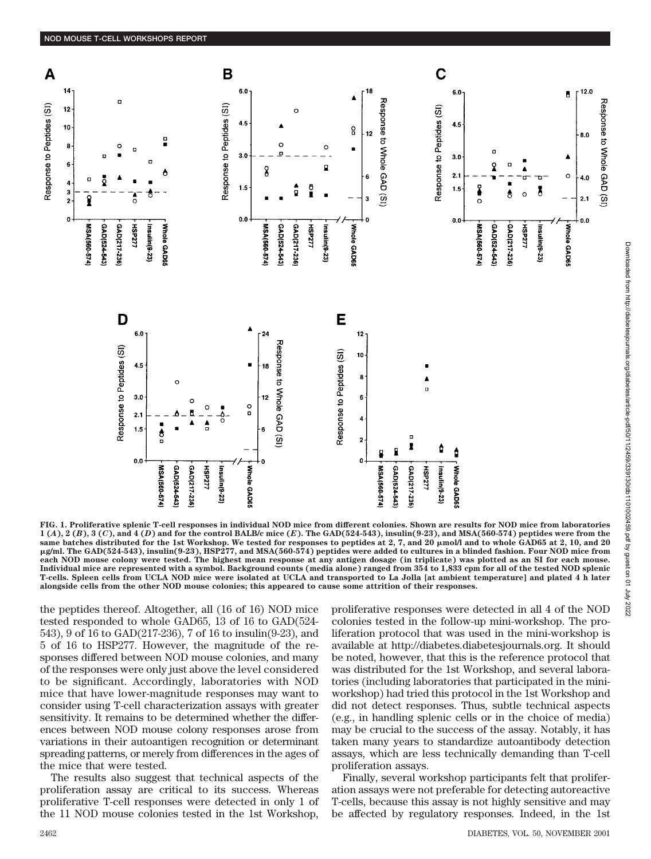

**FIG. 1. Proliferative splenic T-cell responses in individual NOD mice from different colonies. Shown are results for NOD mice from laboratories 1 (***A***), 2 (***B***), 3 (***C***), and 4 (***D***) and for the control BALB/c mice (***E***). The GAD(524-543), insulin(9-23), and MSA(560-574) peptides were from the** same batches distributed for the 1st Workshop. We tested for responses to peptides at 2, 7, and 20  $\mu$ mol/l and to whole GAD65 at 2, 10, and 20 -**g/ml. The GAD(524-543), insulin(9-23), HSP277, and MSA(560-574) peptides were added to cultures in a blinded fashion. Four NOD mice from each NOD mouse colony were tested. The highest mean response at any antigen dosage (in triplicate) was plotted as an SI for each mouse. Individual mice are represented with a symbol. Background counts (media alone) ranged from 354 to 1,833 cpm for all of the tested NOD splenic T-cells. Spleen cells from UCLA NOD mice were isolated at UCLA and transported to La Jolla [at ambient temperature] and plated 4 h later alongside cells from the other NOD mouse colonies; this appeared to cause some attrition of their responses.**

the peptides thereof. Altogether, all (16 of 16) NOD mice tested responded to whole GAD65, 13 of 16 to GAD(524- 543), 9 of 16 to GAD(217-236), 7 of 16 to insulin(9-23), and 5 of 16 to HSP277. However, the magnitude of the responses differed between NOD mouse colonies, and many of the responses were only just above the level considered to be significant. Accordingly, laboratories with NOD mice that have lower-magnitude responses may want to consider using T-cell characterization assays with greater sensitivity. It remains to be determined whether the differences between NOD mouse colony responses arose from variations in their autoantigen recognition or determinant spreading patterns, or merely from differences in the ages of the mice that were tested.

The results also suggest that technical aspects of the proliferation assay are critical to its success. Whereas proliferative T-cell responses were detected in only 1 of the 11 NOD mouse colonies tested in the 1st Workshop, proliferative responses were detected in all 4 of the NOD colonies tested in the follow-up mini-workshop. The proliferation protocol that was used in the mini-workshop is available at http://diabetes.diabetesjournals.org. It should be noted, however, that this is the reference protocol that was distributed for the 1st Workshop, and several laboratories (including laboratories that participated in the miniworkshop) had tried this protocol in the 1st Workshop and did not detect responses. Thus, subtle technical aspects (e.g., in handling splenic cells or in the choice of media) may be crucial to the success of the assay. Notably, it has taken many years to standardize autoantibody detection assays, which are less technically demanding than T-cell proliferation assays.

Finally, several workshop participants felt that proliferation assays were not preferable for detecting autoreactive T-cells, because this assay is not highly sensitive and may be affected by regulatory responses. Indeed, in the 1st